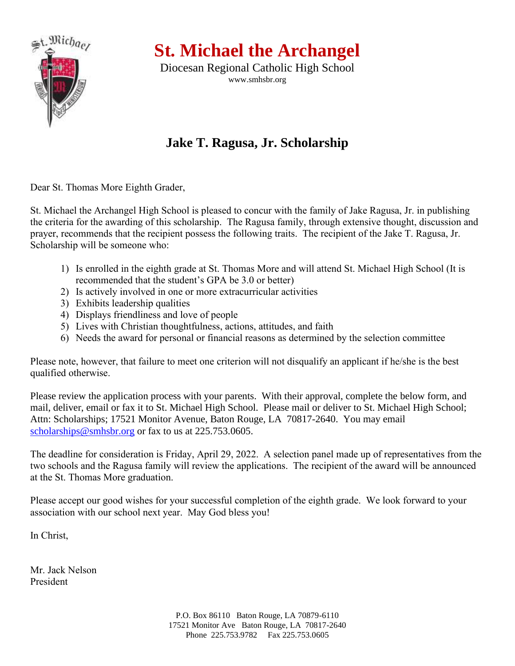

**St. Michael the Archangel**

Diocesan Regional Catholic High School www.smhsbr.org

## **Jake T. Ragusa, Jr. Scholarship**

Dear St. Thomas More Eighth Grader,

St. Michael the Archangel High School is pleased to concur with the family of Jake Ragusa, Jr. in publishing the criteria for the awarding of this scholarship. The Ragusa family, through extensive thought, discussion and prayer, recommends that the recipient possess the following traits. The recipient of the Jake T. Ragusa, Jr. Scholarship will be someone who:

- 1) Is enrolled in the eighth grade at St. Thomas More and will attend St. Michael High School (It is recommended that the student's GPA be 3.0 or better)
- 2) Is actively involved in one or more extracurricular activities
- 3) Exhibits leadership qualities
- 4) Displays friendliness and love of people
- 5) Lives with Christian thoughtfulness, actions, attitudes, and faith
- 6) Needs the award for personal or financial reasons as determined by the selection committee

Please note, however, that failure to meet one criterion will not disqualify an applicant if he/she is the best qualified otherwise.

Please review the application process with your parents. With their approval, complete the below form, and mail, deliver, email or fax it to St. Michael High School. Please mail or deliver to St. Michael High School; Attn: Scholarships; 17521 Monitor Avenue, Baton Rouge, LA 70817-2640. You may email [scholarships@smhsbr.org](mailto:scholarships@smhsbr.org) or fax to us at 225.753.0605.

The deadline for consideration is Friday, April 29, 2022. A selection panel made up of representatives from the two schools and the Ragusa family will review the applications. The recipient of the award will be announced at the St. Thomas More graduation.

Please accept our good wishes for your successful completion of the eighth grade. We look forward to your association with our school next year. May God bless you!

In Christ,

Mr. Jack Nelson President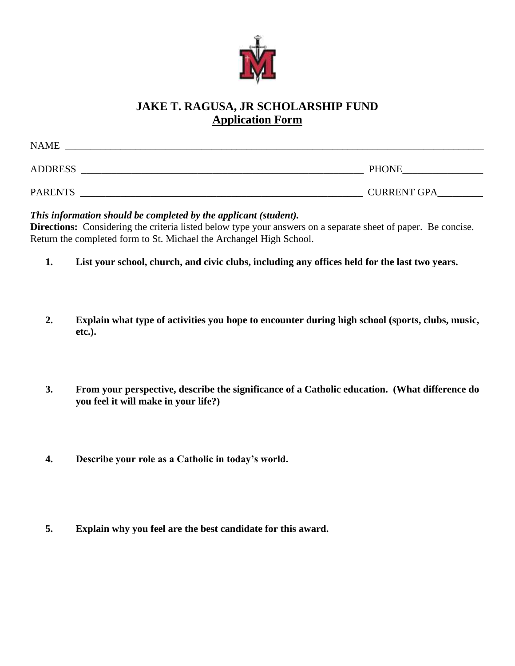

## **JAKE T. RAGUSA, JR SCHOLARSHIP FUND Application Form**

| <b>NAME</b>    |                    |
|----------------|--------------------|
| <b>ADDRESS</b> | <b>PHONE</b>       |
| <b>PARENTS</b> | <b>CURRENT GPA</b> |

*This information should be completed by the applicant (student).*

**Directions:** Considering the criteria listed below type your answers on a separate sheet of paper. Be concise. Return the completed form to St. Michael the Archangel High School.

- **1. List your school, church, and civic clubs, including any offices held for the last two years.**
- **2. Explain what type of activities you hope to encounter during high school (sports, clubs, music, etc.).**
- **3. From your perspective, describe the significance of a Catholic education. (What difference do you feel it will make in your life?)**
- **4. Describe your role as a Catholic in today's world.**
- **5. Explain why you feel are the best candidate for this award.**